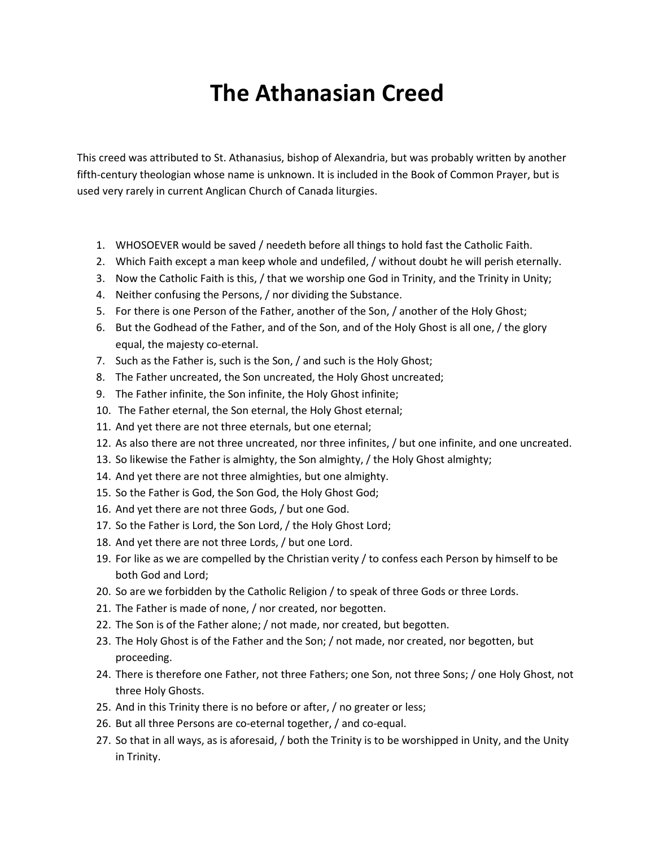## **The Athanasian Creed**

This creed was attributed to St. Athanasius, bishop of Alexandria, but was probably written by another fifth-century theologian whose name is unknown. It is included in the Book of Common Prayer, but is used very rarely in current Anglican Church of Canada liturgies.

- 1. WHOSOEVER would be saved / needeth before all things to hold fast the Catholic Faith.
- 2. Which Faith except a man keep whole and undefiled, / without doubt he will perish eternally.
- 3. Now the Catholic Faith is this, / that we worship one God in Trinity, and the Trinity in Unity;
- 4. Neither confusing the Persons, / nor dividing the Substance.
- 5. For there is one Person of the Father, another of the Son, / another of the Holy Ghost;
- 6. But the Godhead of the Father, and of the Son, and of the Holy Ghost is all one, / the glory equal, the majesty co-eternal.
- 7. Such as the Father is, such is the Son, / and such is the Holy Ghost;
- 8. The Father uncreated, the Son uncreated, the Holy Ghost uncreated;
- 9. The Father infinite, the Son infinite, the Holy Ghost infinite;
- 10. The Father eternal, the Son eternal, the Holy Ghost eternal;
- 11. And yet there are not three eternals, but one eternal;
- 12. As also there are not three uncreated, nor three infinites, / but one infinite, and one uncreated.
- 13. So likewise the Father is almighty, the Son almighty, / the Holy Ghost almighty;
- 14. And yet there are not three almighties, but one almighty.
- 15. So the Father is God, the Son God, the Holy Ghost God;
- 16. And yet there are not three Gods, / but one God.
- 17. So the Father is Lord, the Son Lord, / the Holy Ghost Lord;
- 18. And yet there are not three Lords, / but one Lord.
- 19. For like as we are compelled by the Christian verity / to confess each Person by himself to be both God and Lord;
- 20. So are we forbidden by the Catholic Religion / to speak of three Gods or three Lords.
- 21. The Father is made of none, / nor created, nor begotten.
- 22. The Son is of the Father alone; / not made, nor created, but begotten.
- 23. The Holy Ghost is of the Father and the Son; / not made, nor created, nor begotten, but proceeding.
- 24. There is therefore one Father, not three Fathers; one Son, not three Sons; / one Holy Ghost, not three Holy Ghosts.
- 25. And in this Trinity there is no before or after, / no greater or less;
- 26. But all three Persons are co-eternal together, / and co-equal.
- 27. So that in all ways, as is aforesaid, / both the Trinity is to be worshipped in Unity, and the Unity in Trinity.